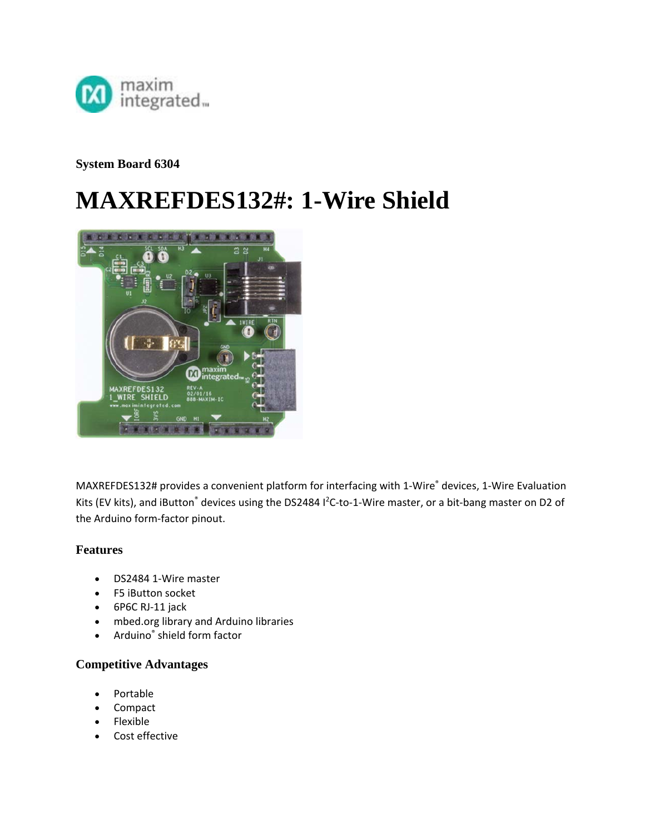

**System Board 6304** 

# **MAXREFDES132#: 1-Wire Shield**



MAXREFDES132# provides a convenient platform for interfacing with 1-Wire® devices, 1-Wire Evaluation Kits (EV kits), and iButton<sup>®</sup> devices using the DS2484 I<sup>2</sup>C-to-1-Wire master, or a bit-bang master on D2 of the Arduino form‐factor pinout.

#### **Features**

- DS2484 1‐Wire master
- F5 iButton socket
- 6P6C RJ-11 jack
- mbed.org library and Arduino libraries
- Arduino® shield form factor

#### **Competitive Advantages**

- Portable
- Compact
- Flexible
- Cost effective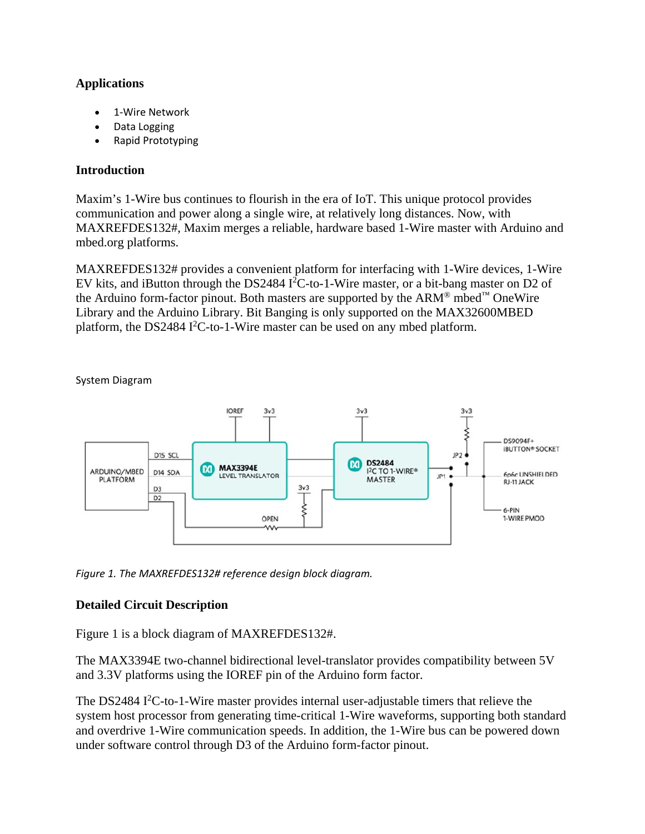# **Applications**

- 1‐Wire Network
- Data Logging
- Rapid Prototyping

## **Introduction**

Maxim's 1-Wire bus continues to flourish in the era of IoT. This unique protocol provides communication and power along a single wire, at relatively long distances. Now, with MAXREFDES132#, Maxim merges a reliable, hardware based 1-Wire master with Arduino and mbed.org platforms.

MAXREFDES132# provides a convenient platform for interfacing with 1-Wire devices, 1-Wire EV kits, and iButton through the DS2484 I<sup>2</sup>C-to-1-Wire master, or a bit-bang master on D2 of the Arduino form-factor pinout. Both masters are supported by the  $ARM^{\circledR}$  mbed<sup>™</sup> OneWire Library and the Arduino Library. Bit Banging is only supported on the MAX32600MBED platform, the DS2484 I<sup>2</sup>C-to-1-Wire master can be used on any mbed platform.



System Diagram

*Figure 1. The MAXREFDES132# reference design block diagram.*

# **Detailed Circuit Description**

Figure 1 is a block diagram of MAXREFDES132#.

The MAX3394E two-channel bidirectional level-translator provides compatibility between 5V and 3.3V platforms using the IOREF pin of the Arduino form factor.

The DS2484  $I<sup>2</sup>C$ -to-1-Wire master provides internal user-adjustable timers that relieve the system host processor from generating time-critical 1-Wire waveforms, supporting both standard and overdrive 1-Wire communication speeds. In addition, the 1-Wire bus can be powered down under software control through D3 of the Arduino form-factor pinout.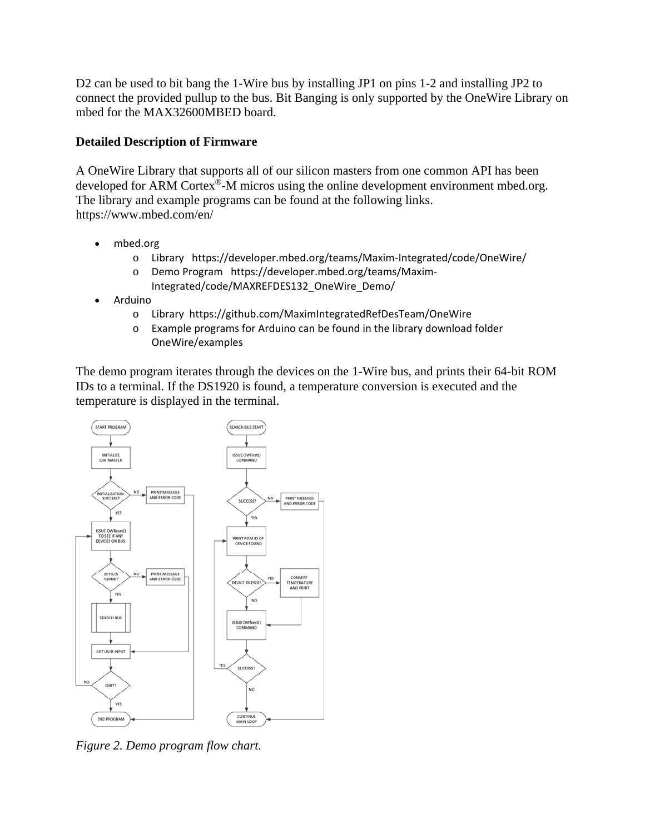D<sub>2</sub> can be used to bit bang the 1-Wire bus by installing JP1 on pins 1-2 and installing JP<sub>2</sub> to connect the provided pullup to the bus. Bit Banging is only supported by the OneWire Library on mbed for the MAX32600MBED board.

## **Detailed Description of Firmware**

A OneWire Library that supports all of our silicon masters from one common API has been developed for ARM Cortex®-M micros using the online development environment mbed.org. The library and example programs can be found at the following links. https://www.mbed.com/en/

- mbed.org
	- o Library https://developer.mbed.org/teams/Maxim‐Integrated/code/OneWire/
	- o Demo Program https://developer.mbed.org/teams/Maxim‐ Integrated/code/MAXREFDES132\_OneWire\_Demo/
- Arduino
	- o Library https://github.com/MaximIntegratedRefDesTeam/OneWire
	- o Example programs for Arduino can be found in the library download folder OneWire/examples

The demo program iterates through the devices on the 1-Wire bus, and prints their 64-bit ROM IDs to a terminal. If the DS1920 is found, a temperature conversion is executed and the temperature is displayed in the terminal.



*Figure 2. Demo program flow chart.*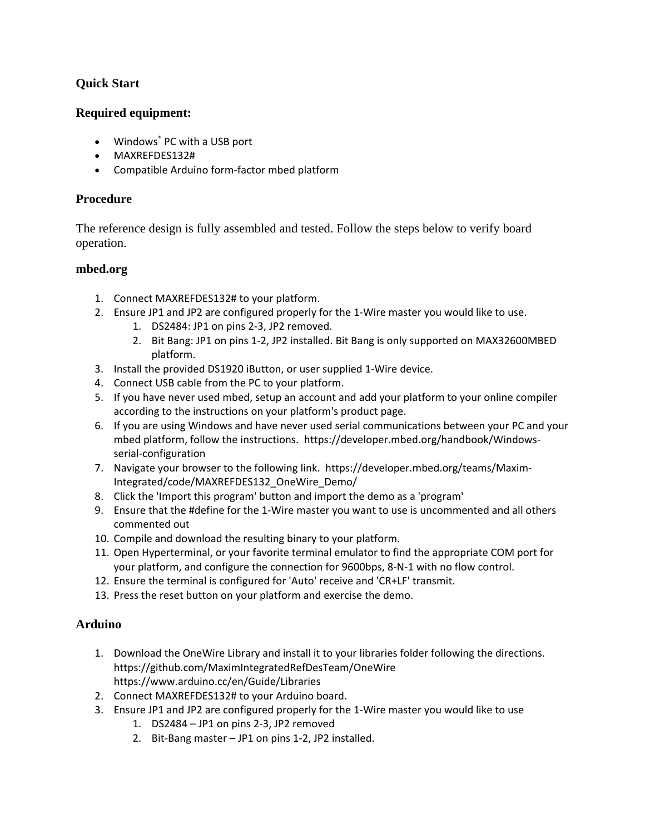# **Quick Start**

## **Required equipment:**

- Windows<sup>®</sup> PC with a USB port
- MAXREFDES132#
- Compatible Arduino form‐factor mbed platform

### **Procedure**

The reference design is fully assembled and tested. Follow the steps below to verify board operation.

#### **mbed.org**

- 1. Connect MAXREFDES132# to your platform.
- 2. Ensure JP1 and JP2 are configured properly for the 1‐Wire master you would like to use.
	- 1. DS2484: JP1 on pins 2‐3, JP2 removed.
	- 2. Bit Bang: JP1 on pins 1‐2, JP2 installed. Bit Bang is only supported on MAX32600MBED platform.
- 3. Install the provided DS1920 iButton, or user supplied 1‐Wire device.
- 4. Connect USB cable from the PC to your platform.
- 5. If you have never used mbed, setup an account and add your platform to your online compiler according to the instructions on your platform's product page.
- 6. If you are using Windows and have never used serial communications between your PC and your mbed platform, follow the instructions. https://developer.mbed.org/handbook/Windows‐ serial‐configuration
- 7. Navigate your browser to the following link. https://developer.mbed.org/teams/Maxim‐ Integrated/code/MAXREFDES132\_OneWire\_Demo/
- 8. Click the 'Import this program' button and import the demo as a 'program'
- 9. Ensure that the #define for the 1‐Wire master you want to use is uncommented and all others commented out
- 10. Compile and download the resulting binary to your platform.
- 11. Open Hyperterminal, or your favorite terminal emulator to find the appropriate COM port for your platform, and configure the connection for 9600bps, 8‐N‐1 with no flow control.
- 12. Ensure the terminal is configured for 'Auto' receive and 'CR+LF' transmit.
- 13. Press the reset button on your platform and exercise the demo.

#### **Arduino**

- 1. Download the OneWire Library and install it to your libraries folder following the directions. https://github.com/MaximIntegratedRefDesTeam/OneWire https://www.arduino.cc/en/Guide/Libraries
- 2. Connect MAXREFDES132# to your Arduino board.
- 3. Ensure JP1 and JP2 are configured properly for the 1‐Wire master you would like to use
	- 1. DS2484 JP1 on pins 2‐3, JP2 removed
	- 2. Bit‐Bang master JP1 on pins 1‐2, JP2 installed.